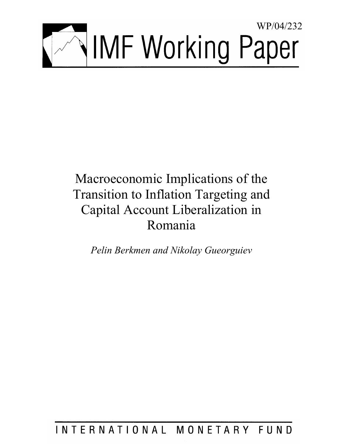

# Macroeconomic Implications of the Transition to Inflation Targeting and Capital Account Liberalization in Romania

*Pelin Berkmen and Nikolay Gueorguiev* 

# INTERNATIONAL MONETARY FUND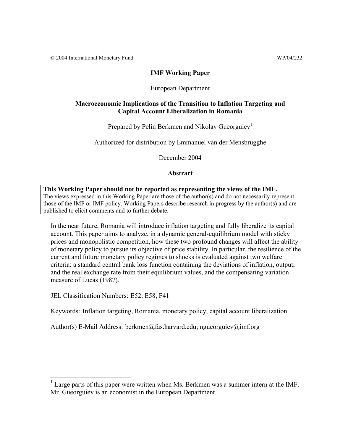© 2004 International Monetary Fund WP/04/232

# **IMF Working Paper**

# European Department

# **Macroeconomic Implications of the Transition to Inflation Targeting and Capital Account Liberalization in Romania**

Prepared by Pelin Berkmen and Nikolay Gueorguiev<sup>1</sup>

Authorized for distribution by Emmanuel van der Mensbrugghe

December 2004

**Abstract**

#### **This Working Paper should not be reported as representing the views of the IMF.** The views expressed in this Working Paper are those of the author(s) and do not necessarily represent those of the IMF or IMF policy. Working Papers describe research in progress by the author(s) and are published to elicit comments and to further debate.

In the near future, Romania will introduce inflation targeting and fully liberalize its capital account. This paper aims to analyze, in a dynamic general-equilibrium model with sticky prices and monopolistic competition, how these two profound changes will affect the ability of monetary policy to pursue its objective of price stability. In particular, the resilience of the current and future monetary policy regimes to shocks is evaluated against two welfare criteria: a standard central bank loss function containing the deviations of inflation, output, and the real exchange rate from their equilibrium values, and the compensating variation measure of Lucas (1987).

JEL Classification Numbers: E52, E58, F41

1

Keywords: Inflation targeting, Romania, monetary policy, capital account liberalization

Author(s) E-Mail Address: berkmen@fas.harvard.edu; ngueorguiev@imf.org

<sup>1</sup> Large parts of this paper were written when Ms. Berkmen was a summer intern at the IMF. Mr. Gueorguiev is an economist in the European Department.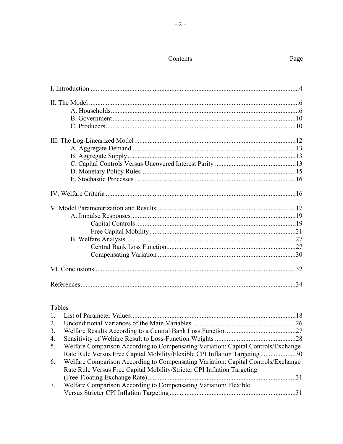# Contents

# Tables

| 2  |                                                                                   |  |
|----|-----------------------------------------------------------------------------------|--|
| 3. |                                                                                   |  |
| 4. |                                                                                   |  |
| 5. | Welfare Comparison According to Compensating Variation: Capital Controls/Exchange |  |
|    | Rate Rule Versus Free Capital Mobility/Flexible CPI Inflation Targeting30         |  |
| 6. | Welfare Comparison According to Compensating Variation: Capital Controls/Exchange |  |
|    | Rate Rule Versus Free Capital Mobility/Stricter CPI Inflation Targeting           |  |
|    |                                                                                   |  |
| 7. | Welfare Comparison According to Compensating Variation: Flexible                  |  |
|    |                                                                                   |  |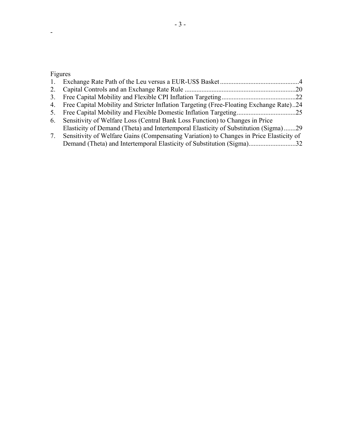# Figures

| 2. |                                                                                           |  |
|----|-------------------------------------------------------------------------------------------|--|
|    |                                                                                           |  |
|    | 4. Free Capital Mobility and Stricter Inflation Targeting (Free-Floating Exchange Rate)24 |  |
| 5. |                                                                                           |  |
|    | 6. Sensitivity of Welfare Loss (Central Bank Loss Function) to Changes in Price           |  |
|    | Elasticity of Demand (Theta) and Intertemporal Elasticity of Substitution (Sigma)29       |  |
| 7. | Sensitivity of Welfare Gains (Compensating Variation) to Changes in Price Elasticity of   |  |
|    | Demand (Theta) and Intertemporal Elasticity of Substitution (Sigma)32                     |  |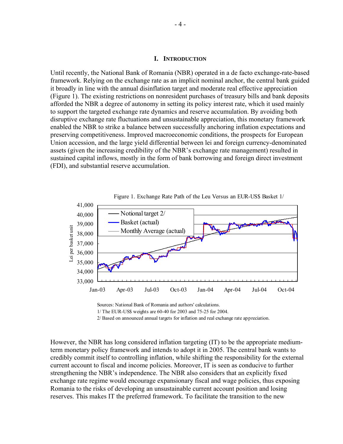#### **I. INTRODUCTION**

Until recently, the National Bank of Romania (NBR) operated in a de facto exchange-rate-based framework. Relying on the exchange rate as an implicit nominal anchor, the central bank guided it broadly in line with the annual disinflation target and moderate real effective appreciation (Figure 1). The existing restrictions on nonresident purchases of treasury bills and bank deposits afforded the NBR a degree of autonomy in setting its policy interest rate, which it used mainly to support the targeted exchange rate dynamics and reserve accumulation. By avoiding both disruptive exchange rate fluctuations and unsustainable appreciation, this monetary framework enabled the NBR to strike a balance between successfully anchoring inflation expectations and preserving competitiveness. Improved macroeconomic conditions, the prospects for European Union accession, and the large yield differential between lei and foreign currency-denominated assets (given the increasing credibility of the NBR's exchange rate management) resulted in sustained capital inflows, mostly in the form of bank borrowing and foreign direct investment (FDI), and substantial reserve accumulation.



Sources: National Bank of Romania and authors' calculations. 1/ The EUR-US\$ weights are 60-40 for 2003 and 75-25 for 2004. 2/ Based on announced annual targets for inflation and real exchange rate appreciation.

However, the NBR has long considered inflation targeting (IT) to be the appropriate mediumterm monetary policy framework and intends to adopt it in 2005. The central bank wants to credibly commit itself to controlling inflation, while shifting the responsibility for the external current account to fiscal and income policies. Moreover, IT is seen as conducive to further strengthening the NBR's independence. The NBR also considers that an explicitly fixed exchange rate regime would encourage expansionary fiscal and wage policies, thus exposing Romania to the risks of developing an unsustainable current account position and losing reserves. This makes IT the preferred framework. To facilitate the transition to the new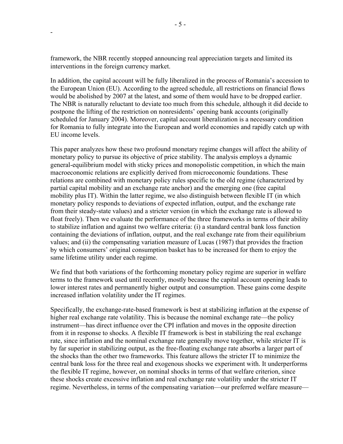framework, the NBR recently stopped announcing real appreciation targets and limited its interventions in the foreign currency market.

-

In addition, the capital account will be fully liberalized in the process of Romania's accession to the European Union (EU). According to the agreed schedule, all restrictions on financial flows would be abolished by 2007 at the latest, and some of them would have to be dropped earlier. The NBR is naturally reluctant to deviate too much from this schedule, although it did decide to postpone the lifting of the restriction on nonresidents' opening bank accounts (originally scheduled for January 2004). Moreover, capital account liberalization is a necessary condition for Romania to fully integrate into the European and world economies and rapidly catch up with EU income levels.

This paper analyzes how these two profound monetary regime changes will affect the ability of monetary policy to pursue its objective of price stability. The analysis employs a dynamic general-equilibrium model with sticky prices and monopolistic competition, in which the main macroeconomic relations are explicitly derived from microeconomic foundations. These relations are combined with monetary policy rules specific to the old regime (characterized by partial capital mobility and an exchange rate anchor) and the emerging one (free capital mobility plus IT). Within the latter regime, we also distinguish between flexible IT (in which monetary policy responds to deviations of expected inflation, output, and the exchange rate from their steady-state values) and a stricter version (in which the exchange rate is allowed to float freely). Then we evaluate the performance of the three frameworks in terms of their ability to stabilize inflation and against two welfare criteria: (i) a standard central bank loss function containing the deviations of inflation, output, and the real exchange rate from their equilibrium values; and (ii) the compensating variation measure of Lucas (1987) that provides the fraction by which consumers' original consumption basket has to be increased for them to enjoy the same lifetime utility under each regime.

We find that both variations of the forthcoming monetary policy regime are superior in welfare terms to the framework used until recently, mostly because the capital account opening leads to lower interest rates and permanently higher output and consumption. These gains come despite increased inflation volatility under the IT regimes.

Specifically, the exchange-rate-based framework is best at stabilizing inflation at the expense of higher real exchange rate volatility. This is because the nominal exchange rate—the policy instrument—has direct influence over the CPI inflation and moves in the opposite direction from it in response to shocks. A flexible IT framework is best in stabilizing the real exchange rate, since inflation and the nominal exchange rate generally move together, while stricter IT is by far superior in stabilizing output, as the free-floating exchange rate absorbs a larger part of the shocks than the other two frameworks. This feature allows the stricter IT to minimize the central bank loss for the three real and exogenous shocks we experiment with. It underperforms the flexible IT regime, however, on nominal shocks in terms of that welfare criterion, since these shocks create excessive inflation and real exchange rate volatility under the stricter IT regime. Nevertheless, in terms of the compensating variation—our preferred welfare measure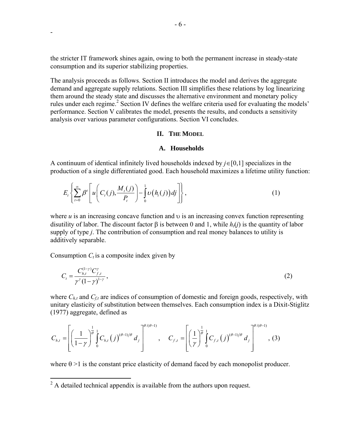the stricter IT framework shines again, owing to both the permanent increase in steady-state consumption and its superior stabilizing properties.

The analysis proceeds as follows. Section II introduces the model and derives the aggregate demand and aggregate supply relations. Section III simplifies these relations by log linearizing them around the steady state and discusses the alternative environment and monetary policy rules under each regime.<sup>2</sup> Section IV defines the welfare criteria used for evaluating the models' performance. Section V calibrates the model, presents the results, and conducts a sensitivity analysis over various parameter configurations. Section VI concludes.

#### **II. THE MODEL**

### **A. Households**

A continuum of identical infinitely lived households indexed by *j*∈[0,1] specializes in the production of a single differentiated good. Each household maximizes a lifetime utility function:

$$
E_t\left\{\sum_{t=0}^{\infty}\beta^t\left[u\left(C_t(j),\frac{M_t(j)}{P_t}\right)-\int_{0}^{1}U(h_t(j))\,dj\right]\right\},\tag{1}
$$

where  $u$  is an increasing concave function and  $v$  is an increasing convex function representing disutility of labor. The discount factor β is between 0 and 1, while  $h<sub>i</sub>(*i*)$  is the quantity of labor supply of type *j*. The contribution of consumption and real money balances to utility is additively separable.

Consumption  $C_t$  is a composite index given by

-

$$
C_t = \frac{C_{h,t}^{(1-\gamma)} C_{f,t}^{\gamma}}{\gamma^{\gamma} (1-\gamma)^{1-\gamma}},
$$
\n(2)

where  $C_{h,t}$  and  $C_{f,t}$  are indices of consumption of domestic and foreign goods, respectively, with unitary elasticity of substitution between themselves. Each consumption index is a Dixit-Stiglitz (1977) aggregate, defined as

$$
C_{h,t} = \left[ \left( \frac{1}{1-\gamma} \right)^{\frac{1}{\theta}} \int_{0}^{1} C_{h,t} (j)^{(\theta-1)/\theta} d_j \right]^{\theta/(\theta-1)}, \quad C_{f,t} = \left[ \left( \frac{1}{\gamma} \right)^{\frac{1}{\theta}} \int_{0}^{1} C_{f,t} (j)^{(\theta-1)/\theta} d_j \right]^{\theta/(\theta-1)},
$$
(3)

where  $\theta$  >1 is the constant price elasticity of demand faced by each monopolist producer.

<sup>&</sup>lt;sup>2</sup> A detailed technical appendix is available from the authors upon request.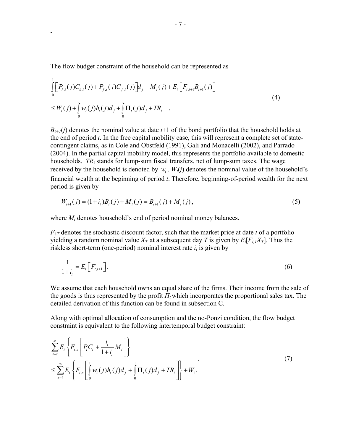The flow budget constraint of the household can be represented as

-

$$
\int_{0}^{1} \Big[ P_{h,t}(j) C_{h,t}(j) + P_{f,t}(j) C_{f,t}(j) \Big] d_{j} + M_{t}(j) + E_{t} \Big[ F_{t,t+1} B_{t+1}(j) \Big] \n\leq W_{t}(j) + \int_{0}^{1} W_{t}(j) h_{t}(j) d_{j} + \int_{0}^{1} \Pi_{t}(j) d_{j} + TR_{t}
$$
\n(4)

 $B_{t+1}(i)$  denotes the nominal value at date  $t+1$  of the bond portfolio that the household holds at the end of period *t*. In the free capital mobility case, this will represent a complete set of statecontingent claims, as in Cole and Obstfeld (1991), Gali and Monacelli (2002), and Parrado (2004). In the partial capital mobility model, this represents the portfolio available to domestic households.  $TR<sub>t</sub>$  stands for lump-sum fiscal transfers, net of lump-sum taxes. The wage received by the household is denoted by  $w_t$ .  $W_t(j)$  denotes the nominal value of the household's financial wealth at the beginning of period *t*. Therefore, beginning-of-period wealth for the next period is given by

$$
W_{t+1}(j) = (1+i_t)B_t(j) + M_t(j) = B_{t+1}(j) + M_t(j),
$$
\n(5)

where  $M_t$  denotes household's end of period nominal money balances.

 $F_{tT}$  denotes the stochastic discount factor, such that the market price at date *t* of a portfolio yielding a random nominal value  $X_T$  at a subsequent day T is given by  $E_t[F_{t,T}X_T]$ . Thus the riskless short-term (one-period) nominal interest rate  $i_t$  is given by

$$
\frac{1}{1+i_t} = E_t \left[ F_{t,t+1} \right]. \tag{6}
$$

We assume that each household owns an equal share of the firms. Their income from the sale of the goods is thus represented by the profit  $\Pi_t$  which incorporates the proportional sales tax. The detailed derivation of this function can be found in subsection C.

Along with optimal allocation of consumption and the no-Ponzi condition, the flow budget constraint is equivalent to the following intertemporal budget constraint:

$$
\sum_{s=t}^{\infty} E_t \left\{ F_{t,s} \left[ P_t C_t + \frac{i_t}{1+i_t} M_t \right] \right\} \n\leq \sum_{s=t}^{\infty} E_t \left\{ F_{t,s} \left[ \int_0^1 w_t(j) h_t(j) d_j + \int_0^1 \Pi_t(j) d_j + TR_t \right] \right\} + W_t.
$$
\n(7)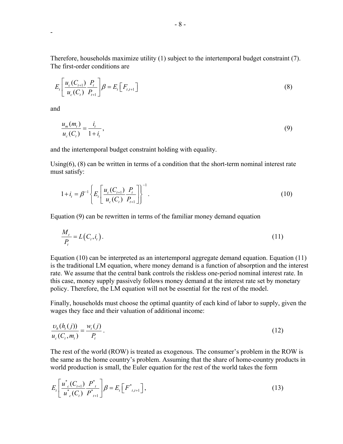Therefore, households maximize utility (1) subject to the intertemporal budget constraint (7). The first-order conditions are

$$
E_{t}\left[\frac{u_{c}(C_{t+1})}{u_{c}(C_{t})}\frac{P_{t}}{P_{t+1}}\right]\beta = E_{t}\left[F_{t,t+1}\right]
$$
\n(8)

and

-

$$
\frac{u_m(m_t)}{u_c(C_t)} = \frac{i_t}{1 + i_t},\tag{9}
$$

and the intertemporal budget constraint holding with equality.

Using(6), (8) can be written in terms of a condition that the short-term nominal interest rate must satisfy:

$$
1 + i_{t} = \beta^{-1} \left\{ E_{t} \left[ \frac{u_{c}(C_{t+1})}{u_{c}(C_{t})} \frac{P_{t}}{P_{t+1}} \right] \right\}^{-1}.
$$
\n(10)

Equation (9) can be rewritten in terms of the familiar money demand equation

$$
\frac{M_t}{P_t} = L(C_t, i_t). \tag{11}
$$

Equation (10) can be interpreted as an intertemporal aggregate demand equation. Equation (11) is the traditional LM equation, where money demand is a function of absorption and the interest rate. We assume that the central bank controls the riskless one-period nominal interest rate. In this case, money supply passively follows money demand at the interest rate set by monetary policy. Therefore, the LM equation will not be essential for the rest of the model.

Finally, households must choose the optimal quantity of each kind of labor to supply, given the wages they face and their valuation of additional income:

$$
\frac{\nu_h(h_t(j))}{u_c(C_t, m_t)} = \frac{w_t(j)}{P_t}.
$$
\n(12)

The rest of the world (ROW) is treated as exogenous. The consumer's problem in the ROW is the same as the home country's problem. Assuming that the share of home-country products in world production is small, the Euler equation for the rest of the world takes the form

$$
E_t \left[ \frac{u_{c}^*(C_{t+1})}{u_{c}^*(C_t)} \frac{P_{t}^*}{P_{t+1}^*} \right] \beta = E_t \left[ F_{t,t+1}^* \right], \tag{13}
$$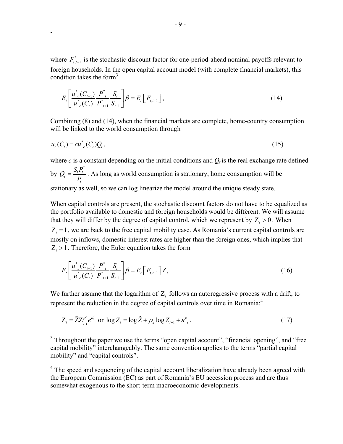where  $F_{t}^*$  is the stochastic discount factor for one-period-ahead nominal payoffs relevant to foreign households. In the open capital account model (with complete financial markets), this condition takes the form $3$ 

$$
E_t \left[ \frac{u_{c}^*(C_{t+1})}{u_{c}^*(C_t)} \frac{P_{t}^*}{P_{t+1}^*} \frac{S_t}{S_{t+1}} \right] \beta = E_t \left[ F_{t,t+1} \right],
$$
\n(14)

Combining (8) and (14), when the financial markets are complete, home-country consumption will be linked to the world consumption through

$$
u_c(C_t) = cu_{c}^*(C_t)Q_t,
$$
\n
$$
(15)
$$

where  $c$  is a constant depending on the initial conditions and  $Q_t$  is the real exchange rate defined by \*  $\frac{D_t L_t}{D}$  $Q_i = \frac{S_i P_i^*}{P_i}$ . As long as world consumption is stationary, home consumption will be stationary as well, so we can log linearize the model around the unique steady state.

When capital controls are present, the stochastic discount factors do not have to be equalized as the portfolio available to domestic and foreign households would be different. We will assume that they will differ by the degree of capital control, which we represent by  $Z_t > 0$ . When  $Z_t = 1$ , we are back to the free capital mobility case. As Romania's current capital controls are mostly on inflows, domestic interest rates are higher than the foreign ones, which implies that  $Z_t > 1$ . Therefore, the Euler equation takes the form

$$
E_t \left[ \frac{u_{c}^*(C_{t+1})}{u_{c}^*(C_t)} \frac{P_{t}^*}{P_{t+1}^*} \frac{S_t}{S_{t+1}} \right] \beta = E_t \left[ F_{t,t+1} \right] Z_t.
$$
 (16)

We further assume that the logarithm of Z<sub>t</sub> follows an autoregressive process with a drift, to represent the reduction in the degree of capital controls over time in Romania:<sup>4</sup>

$$
Z_t = \tilde{Z} Z_{t-1}^{\rho^z} e^{\varepsilon_t^z} \text{ or } \log Z_t = \log \tilde{Z} + \rho_z \log Z_{t-1} + \varepsilon_{t}^z. \tag{17}
$$

<sup>&</sup>lt;sup>3</sup> Throughout the paper we use the terms "open capital account", "financial opening", and "free capital mobility" interchangeably. The same convention applies to the terms "partial capital mobility" and "capital controls".

<sup>&</sup>lt;sup>4</sup> The speed and sequencing of the capital account liberalization have already been agreed with the European Commission (EC) as part of Romania's EU accession process and are thus somewhat exogenous to the short-term macroeconomic developments.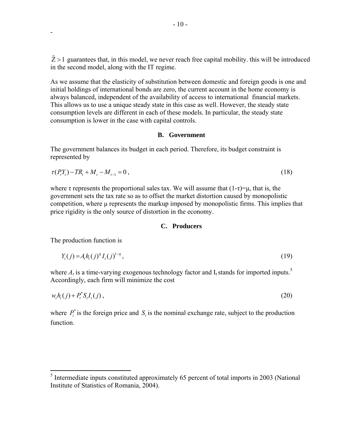$\tilde{Z} > 1$  guarantees that, in this model, we never reach free capital mobility. this will be introduced in the second model, along with the IT regime.

As we assume that the elasticity of substitution between domestic and foreign goods is one and initial holdings of international bonds are zero, the current account in the home economy is always balanced, independent of the availability of access to international financial markets. This allows us to use a unique steady state in this case as well. However, the steady state consumption levels are different in each of these models. In particular, the steady state consumption is lower in the case with capital controls.

#### **B. Government**

The government balances its budget in each period. Therefore, its budget constraint is represented by

$$
\tau(P_t Y_t) - T R_t + M_t - M_{t-1} = 0, \qquad (18)
$$

where  $\tau$  represents the proportional sales tax. We will assume that  $(1-\tau)=\mu$ , that is, the government sets the tax rate so as to offset the market distortion caused by monopolistic competition, where  $\mu$  represents the markup imposed by monopolistic firms. This implies that price rigidity is the only source of distortion in the economy.

# **C. Producers**

The production function is

-

$$
Y_t(j) = A_t h_t(j)^{\eta} I_t(j)^{1-\eta},\tag{19}
$$

where  $A_t$  is a time-varying exogenous technology factor and  $I_t$  stands for imported inputs.<sup>5</sup> Accordingly, each firm will minimize the cost

$$
w_t h_t(j) + P_t^* S_t I_t(j) \,,\tag{20}
$$

where  $P_t^*$  is the foreign price and  $S_t$  is the nominal exchange rate, subject to the production function.

<sup>&</sup>lt;sup>5</sup> Intermediate inputs constituted approximately 65 percent of total imports in 2003 (National Institute of Statistics of Romania, 2004).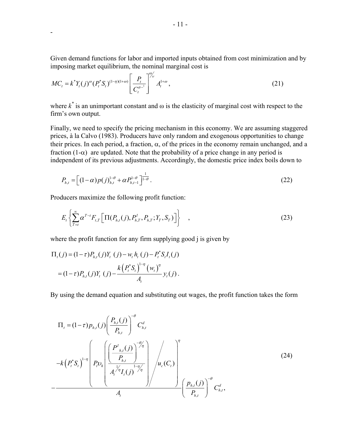Given demand functions for labor and imported inputs obtained from cost minimization and by imposing market equilibrium, the nominal marginal cost is

$$
MC_t = k^* Y_t(j)^\omega (P_t^* S_t)^{(1-\eta)(1+\omega)} \left[ \frac{P_t}{C_t^{\sigma-1}} \right]^{\frac{\omega}{\gamma}} A_t^{1+\omega}, \tag{21}
$$

where  $k^*$  is an unimportant constant and  $\omega$  is the elasticity of marginal cost with respect to the firm's own output.

Finally, we need to specify the pricing mechanism in this economy. We are assuming staggered prices, à la Calvo (1983). Producers have only random and exogenous opportunities to change their prices. In each period, a fraction,  $\alpha$ , of the prices in the economy remain unchanged, and a fraction (1- $\alpha$ ) are updated. Note that the probability of a price change in any period is independent of its previous adjustments. Accordingly, the domestic price index boils down to

$$
P_{h,t} = \left[ (1-\alpha)p(j)_{h,t}^{1-\theta} + \alpha P_{h,t-1}^{1-\theta} \right]_{1-\theta}^{\frac{1}{1-\theta}}.
$$
 (22)

Producers maximize the following profit function:

-

$$
E_{t}\left\{\sum_{T=t}^{\infty}\alpha^{T-t}F_{t,T}\left[\Pi(P_{h,t}(j),P_{h,T}^{I},P_{h,T};Y_{T},S_{T})\right]\right\}\quad,\tag{23}
$$

where the profit function for any firm supplying good *i* is given by

$$
\Pi_{t}(j) = (1-\tau)P_{h,t}(j)Y_{t}(j) - w_{t}h_{t}(j) - P_{t}^{*}S_{t}I_{t}(j)
$$
\n
$$
= (1-\tau)P_{h,t}(j)Y_{t}(j) - \frac{k(P_{t}^{*}S_{t})^{1-\eta}(w_{t})^{\eta}}{A_{t}}y_{t}(j).
$$

By using the demand equation and substituting out wages, the profit function takes the form

$$
\Pi_{t} = (1 - \tau) p_{h,t}(j) \left( \frac{P_{h,t}(j)}{P_{h,t}} \right)^{-\theta} C_{h,t}^{d}
$$
\n
$$
-k (P_{t}^{*} S_{t})^{1-\eta} \left( P_{t} v_{h} \left( \frac{\left( \frac{P_{h,t}(j)}{P_{h,t}} \right)^{-\theta/\eta}}{A_{t}^{1/\eta} I_{t}(j)} \right) / u_{c}(C_{t}) \right)^{\eta}
$$
\n
$$
- \frac{\left( 24 \right)^{\eta}}{A_{t}} \left( \frac{P_{h,t}(j)}{P_{h,t}} \right)^{-\eta} \left( \frac{P_{h,t}(j)}{P_{h,t}} \right)^{-\theta} C_{h,t}^{d}, \qquad (24)
$$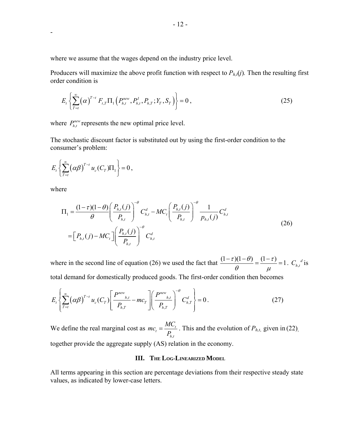where we assume that the wages depend on the industry price level.

Producers will maximize the above profit function with respect to  $P_{h,t}(j)$ . Then the resulting first order condition is

$$
E_t\left\{\sum_{T=t}^{\infty}(\alpha)^{T-t} F_{t,T}\Pi_1\left(P_{h,t}^{new}, P_{h,t}^I, P_{h,T}; Y_T, S_T\right)\right\} = 0,
$$
\n(25)

where  $P_{h,t}^{new}$  represents the new optimal price level.

The stochastic discount factor is substituted out by using the first-order condition to the consumer's problem:

$$
E_t\left\{\sum_{T=t}^{\infty}\left(\alpha\beta\right)^{T-t}u_c(C_T)\Pi_1\right\}=0\,,
$$

where

-

$$
\Pi_{1} = \frac{(1-\tau)(1-\theta)}{\theta} \left( \frac{P_{h,t}(j)}{P_{h,t}} \right)^{-\theta} C_{h,t}^{d} - MC_{t} \left( \frac{P_{h,t}(j)}{P_{h,t}} \right)^{-\theta} \frac{1}{P_{h,t}(j)} C_{h,t}^{d}
$$
\n
$$
= \left[ P_{h,t}(j) - MC_{t} \right] \left( \frac{P_{h,t}(j)}{P_{h,t}} \right)^{-\theta} C_{h,t}^{d}
$$
\n(26)

where in the second line of equation (26) we used the fact that  $\frac{(1-\tau)(1-\theta)}{2} = \frac{(1-\tau)}{2} = 1$  $\frac{(1-\tau)(1-\theta)}{\theta} = \frac{(1-\tau)}{\mu} = 1$ .  $C_{h,t}^{d}$  is total demand for domestically produced goods. The first-order condition then becomes

$$
E_{t}\left\{\sum_{T=t}^{\infty}\left(\alpha\beta\right)^{T-t}u_{c}\left(C_{T}\right)\left[\frac{P^{new}_{h,t}}{P_{h,T}}-mc_{T}\right]\left(\frac{P^{new}_{h,t}}{P_{h,T}}\right)^{-\theta}C_{h,T}^{d}\right\}=0.
$$
\n(27)

We define the real marginal cost as ,  $t = \frac{MC_t}{D}$ *h t*  $mc_{t} = \frac{MC_{t}}{P_{h,t}}$ . This and the evolution of  $P_{h,t}$ , given in (22), together provide the aggregate supply (AS) relation in the economy.

# **III. THE LOG-LINEARIZED MODEL**

All terms appearing in this section are percentage deviations from their respective steady state values, as indicated by lower-case letters.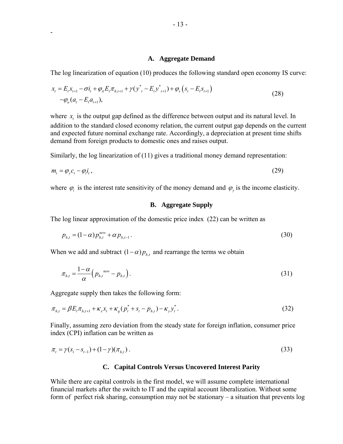#### **A. Aggregate Demand**

The log linearization of equation (10) produces the following standard open economy IS curve:

$$
x_{t} = E_{t}x_{t+1} - \sigma i_{t} + \varphi_{\pi}E_{t}\pi_{h,t+1} + \gamma(\mathbf{y}_{t}^{*} - E_{t}\mathbf{y}_{t+1}^{*}) + \varphi_{s}(s_{t} - E_{t}s_{t+1}) - \varphi_{a}(a_{t} - E_{t}a_{t+1}),
$$
\n(28)

where  $x<sub>i</sub>$  is the output gap defined as the difference between output and its natural level. In addition to the standard closed economy relation, the current output gap depends on the current and expected future nominal exchange rate. Accordingly, a depreciation at present time shifts demand from foreign products to domestic ones and raises output.

Similarly, the log linearization of (11) gives a traditional money demand representation:

$$
m_t = \varphi_y c_t - \varphi_t i_t, \tag{29}
$$

where  $\varphi_i$  is the interest rate sensitivity of the money demand and  $\varphi_v$  is the income elasticity.

## **B. Aggregate Supply**

The log linear approximation of the domestic price index (22) can be written as

$$
p_{h,t} = (1 - \alpha) p_{h,t}^{new} + \alpha p_{h,t-1}.
$$
\n(30)

When we add and subtract  $(1 - \alpha) p_{h}$  and rearrange the terms we obtain

$$
\pi_{h,t} = \frac{1-\alpha}{\alpha} \Big( p_{h,t}^{\text{new}} - p_{h,t} \Big). \tag{31}
$$

Aggregate supply then takes the following form:

-

$$
\pi_{h,t} = \beta E_t \pi_{h,t+1} + \kappa_x x_t + \kappa_q (p_t^* + s_t - p_{h,t}) - \kappa_y y_t^*.
$$
\n(32)

Finally, assuming zero deviation from the steady state for foreign inflation, consumer price index (CPI) inflation can be written as

$$
\pi_t = \gamma(s_t - s_{t-1}) + (1 - \gamma)(\pi_{h,t}). \tag{33}
$$

#### **C. Capital Controls Versus Uncovered Interest Parity**

While there are capital controls in the first model, we will assume complete international financial markets after the switch to IT and the capital account liberalization. Without some form of perfect risk sharing, consumption may not be stationary – a situation that prevents log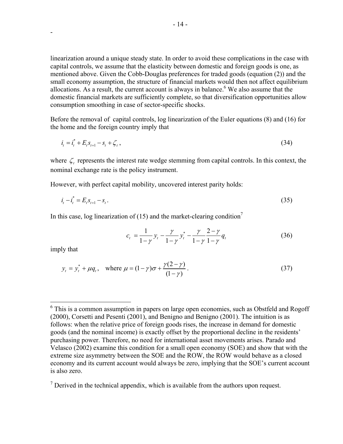linearization around a unique steady state. In order to avoid these complications in the case with capital controls, we assume that the elasticity between domestic and foreign goods is one, as mentioned above. Given the Cobb-Douglas preferences for traded goods (equation (2)) and the small economy assumption, the structure of financial markets would then not affect equilibrium allocations. As a result, the current account is always in balance.<sup>6</sup> We also assume that the domestic financial markets are sufficiently complete, so that diversification opportunities allow consumption smoothing in case of sector-specific shocks.

Before the removal of capital controls, log linearization of the Euler equations (8) and (16) for the home and the foreign country imply that

$$
i_t = i_t^* + E_t s_{t+1} - s_t + \zeta_t, \qquad (34)
$$

where  $\zeta$  represents the interest rate wedge stemming from capital controls. In this context, the nominal exchange rate is the policy instrument.

However, with perfect capital mobility, uncovered interest parity holds:

$$
i_t - i_t^* = E_t s_{t+1} - s_t. \tag{35}
$$

In this case, log linearization of (15) and the market-clearing condition<sup>7</sup>

$$
c_{t} = \frac{1}{1-\gamma} y_{t} - \frac{\gamma}{1-\gamma} y_{t}^{*} - \frac{\gamma}{1-\gamma} \frac{2-\gamma}{1-\gamma} q_{t}
$$
(36)

imply that

<u>.</u>

-

$$
y_t = y_t^* + \mu q_t
$$
, where  $\mu = (1 - \gamma)\sigma + \frac{\gamma(2 - \gamma)}{(1 - \gamma)}$ . (37)

 $<sup>7</sup>$  Derived in the technical appendix, which is available from the authors upon request.</sup>

 $6$  This is a common assumption in papers on large open economies, such as Obstfeld and Rogoff (2000), Corsetti and Pesenti (2001), and Benigno and Benigno (2001). The intuition is as follows: when the relative price of foreign goods rises, the increase in demand for domestic goods (and the nominal income) is exactly offset by the proportional decline in the residents' purchasing power. Therefore, no need for international asset movements arises. Parado and Velasco (2002) examine this condition for a small open economy (SOE) and show that with the extreme size asymmetry between the SOE and the ROW, the ROW would behave as a closed economy and its current account would always be zero, implying that the SOE's current account is also zero.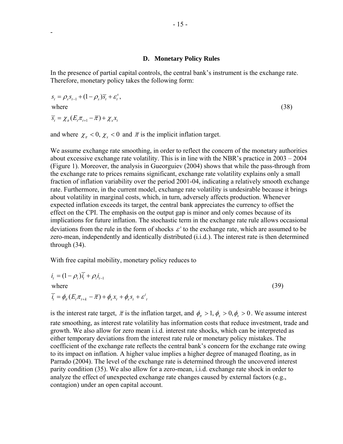#### **D. Monetary Policy Rules**

In the presence of partial capital controls, the central bank's instrument is the exchange rate. Therefore, monetary policy takes the following form:

$$
s_{t} = \rho_{s} s_{t-1} + (1 - \rho_{s}) \overline{s}_{t} + \varepsilon_{t}^{s},
$$
  
where  

$$
\overline{s}_{t} = \chi_{\pi} (E_{t} \pi_{t+1} - \overline{\pi}) + \chi_{x} x_{t}
$$
 (38)

and where  $\chi_{\pi} < 0$ ,  $\chi_{\chi} < 0$  and  $\bar{\pi}$  is the implicit inflation target.

-

We assume exchange rate smoothing, in order to reflect the concern of the monetary authorities about excessive exchange rate volatility. This is in line with the NBR's practice in 2003 – 2004 (Figure 1). Moreover, the analysis in Gueorguiev (2004) shows that while the pass-through from the exchange rate to prices remains significant, exchange rate volatility explains only a small fraction of inflation variability over the period 2001-04, indicating a relatively smooth exchange rate. Furthermore, in the current model, exchange rate volatility is undesirable because it brings about volatility in marginal costs, which, in turn, adversely affects production. Whenever expected inflation exceeds its target, the central bank appreciates the currency to offset the effect on the CPI. The emphasis on the output gap is minor and only comes because of its implications for future inflation. The stochastic term in the exchange rate rule allows occasional deviations from the rule in the form of shocks  $\varepsilon^s$  to the exchange rate, which are assumed to be zero-mean, independently and identically distributed (i.i.d.). The interest rate is then determined through (34).

With free capital mobility, monetary policy reduces to

$$
i_t = (1 - \rho_i)\overline{i}_t + \rho_i i_{t-1}
$$
  
where  

$$
\overline{i}_t = \phi_\pi (E_t \pi_{t+k} - \overline{\pi}) + \phi_x x_t + \phi_s s_t + \varepsilon^i_t
$$
 (39)

is the interest rate target,  $\bar{\pi}$  is the inflation target, and  $\phi_{\pi} > 1$ ,  $\phi_{\pi} > 0$ ,  $\phi_{\pi} > 0$ . We assume interest rate smoothing, as interest rate volatility has information costs that reduce investment, trade and growth. We also allow for zero mean i.i.d. interest rate shocks, which can be interpreted as either temporary deviations from the interest rate rule or monetary policy mistakes. The coefficient of the exchange rate reflects the central bank's concern for the exchange rate owing to its impact on inflation. A higher value implies a higher degree of managed floating, as in Parrado (2004). The level of the exchange rate is determined through the uncovered interest parity condition (35). We also allow for a zero-mean, i.i.d. exchange rate shock in order to analyze the effect of unexpected exchange rate changes caused by external factors (e.g., contagion) under an open capital account.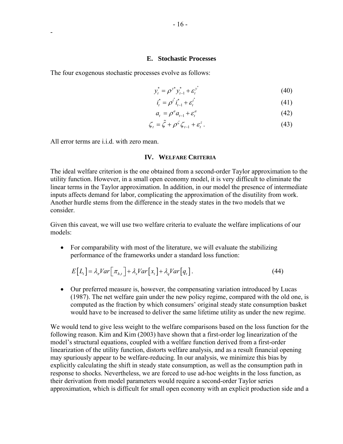#### **E. Stochastic Processes**

The four exogenous stochastic processes evolve as follows:

$$
y_t^* = \rho^{y^*} y_{t-1}^* + \varepsilon_t^{y^*}
$$
 (40)

$$
i_t^* = \rho^{i^*} i_{t-1}^* + \varepsilon_t^{i^*}
$$
\n(41)

$$
a_t = \rho^a a_{t-1} + \varepsilon_t^a \tag{42}
$$

$$
\zeta_t = \tilde{\zeta} + \rho^{\zeta} \zeta_{t-1} + \varepsilon_t^z. \tag{43}
$$

All error terms are i.i.d. with zero mean.

-

# **IV. WELFARE CRITERIA**

The ideal welfare criterion is the one obtained from a second-order Taylor approximation to the utility function. However, in a small open economy model, it is very difficult to eliminate the linear terms in the Taylor approximation. In addition, in our model the presence of intermediate inputs affects demand for labor, complicating the approximation of the disutility from work. Another hurdle stems from the difference in the steady states in the two models that we consider.

Given this caveat, we will use two welfare criteria to evaluate the welfare implications of our models:

• For comparability with most of the literature, we will evaluate the stabilizing performance of the frameworks under a standard loss function:

$$
E[L_t] = \lambda_{\pi} Var\Big[\pi_{h,t}\Big] + \lambda_{\pi} Var\Big[x_t\Big] + \lambda_q Var\Big[q_t\Big].
$$
\n(44)

• Our preferred measure is, however, the compensating variation introduced by Lucas (1987). The net welfare gain under the new policy regime, compared with the old one, is computed as the fraction by which consumers' original steady state consumption basket would have to be increased to deliver the same lifetime utility as under the new regime.

We would tend to give less weight to the welfare comparisons based on the loss function for the following reason. Kim and Kim (2003) have shown that a first-order log linearization of the model's structural equations, coupled with a welfare function derived from a first-order linearization of the utility function, distorts welfare analysis, and as a result financial opening may spuriously appear to be welfare-reducing. In our analysis, we minimize this bias by explicitly calculating the shift in steady state consumption, as well as the consumption path in response to shocks. Nevertheless, we are forced to use ad-hoc weights in the loss function, as their derivation from model parameters would require a second-order Taylor series approximation, which is difficult for small open economy with an explicit production side and a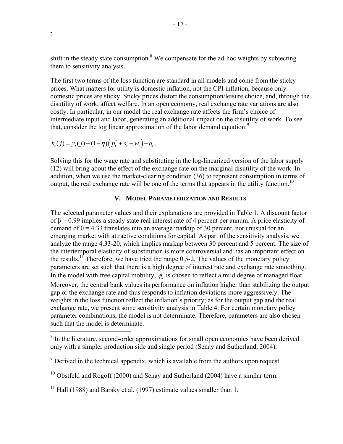shift in the steady state consumption.<sup>8</sup> We compensate for the ad-hoc weights by subjecting them to sensitivity analysis.

The first two terms of the loss function are standard in all models and come from the sticky prices. What matters for utility is domestic inflation, not the CPI inflation, because only domestic prices are sticky. Sticky prices distort the consumption/leisure choice, and, through the disutility of work, affect welfare. In an open economy, real exchange rate variations are also costly. In particular, in our model the real exchange rate affects the firm's choice of intermediate input and labor, generating an additional impact on the disutility of work. To see that, consider the log linear approximation of the labor demand equation: $9$ 

$$
h_t(j) = y_t(j) + (1 - \eta) \left( p_t^* + s_t - w_t \right) - a_t.
$$

-

Solving this for the wage rate and substituting in the log-linearized version of the labor supply (12) will bring about the effect of the exchange rate on the marginal disutility of the work. In addition, when we use the market-clearing condition (36) to represent consumption in terms of output, the real exchange rate will be one of the terms that appears in the utility function.<sup>10</sup>

# **V. MODEL PARAMETERIZATION AND RESULTS**

The selected parameter values and their explanations are provided in Table 1. A discount factor of  $\beta$  = 0.99 implies a steady state real interest rate of 4 percent per annum. A price elasticity of demand of  $\theta$  = 4.33 translates into an average markup of 30 percent, not unusual for an emerging market with attractive conditions for capital. As part of the sensitivity analysis, we analyze the range 4.33-20, which implies markup between 30 percent and 5 percent. The size of the intertemporal elasticity of substitution is more controversial and has an important effect on the results.<sup>11</sup> Therefore, we have tried the range 0.5-2. The values of the monetary policy parameters are set such that there is a high degree of interest rate and exchange rate smoothing. In the model with free capital mobility,  $\phi_{s}$  is chosen to reflect a mild degree of managed float. Moreover, the central bank values its performance on inflation higher than stabilizing the output gap or the exchange rate and thus responds to inflation deviations more aggressively. The weights in the loss function reflect the inflation's priority; as for the output gap and the real exchange rate, we present some sensitivity analysis in Table 4. For certain monetary policy parameter combinations, the model is not determinate. Therefore, parameters are also chosen such that the model is determinate.

<sup>&</sup>lt;sup>8</sup> In the literature, second-order approximations for small open economies have been derived only with a simpler production side and single period (Senay and Sutherland, 2004).

 $9^9$  Derived in the technical appendix, which is available from the authors upon request.

 $10$  Obstfeld and Rogoff (2000) and Senay and Sutherland (2004) have a similar term.

<sup>&</sup>lt;sup>11</sup> Hall (1988) and Barsky et al. (1997) estimate values smaller than 1.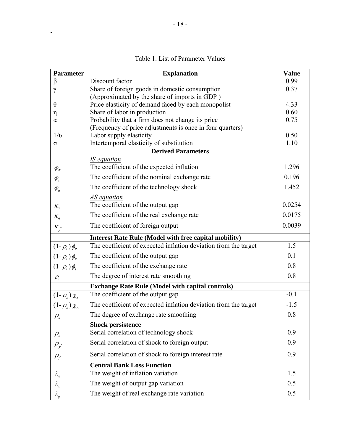| <b>Parameter</b>                | <b>Explanation</b>                                                                  | <b>Value</b> |
|---------------------------------|-------------------------------------------------------------------------------------|--------------|
| $\beta$                         | Discount factor                                                                     | 0.99         |
| γ                               | Share of foreign goods in domestic consumption                                      | 0.37         |
|                                 | (Approximated by the share of imports in GDP)                                       |              |
| θ                               | Price elasticity of demand faced by each monopolist<br>Share of labor in production | 4.33<br>0.60 |
| η<br>$\alpha$                   | Probability that a firm does not change its price                                   | 0.75         |
|                                 | (Frequency of price adjustments is once in four quarters)                           |              |
| 1/v                             | Labor supply elasticity                                                             | 0.50         |
| σ                               | Intertemporal elasticity of substitution                                            | 1.10         |
|                                 | <b>Derived Parameters</b>                                                           |              |
|                                 | <b>IS</b> equation                                                                  |              |
| $\varphi_{\pi}$                 | The coefficient of the expected inflation                                           | 1.296        |
| $\varphi_{\rm s}$               | The coefficient of the nominal exchange rate                                        | 0.196        |
| $\varphi_a$                     | The coefficient of the technology shock                                             | 1.452        |
|                                 | <u>AS equation</u>                                                                  |              |
| $K_{\chi}$                      | The coefficient of the output gap                                                   | 0.0254       |
| $K_q$                           | The coefficient of the real exchange rate                                           | 0.0175       |
| $\kappa_{y^*}$                  | The coefficient of foreign output                                                   | 0.0039       |
|                                 | <b>Interest Rate Rule (Model with free capital mobility)</b>                        |              |
| $(1-\rho_i)\phi_{\pi}$          | The coefficient of expected inflation deviation from the target                     | 1.5          |
| $(1-\rho_i)\phi_x$              | The coefficient of the output gap                                                   | 0.1          |
| $(1-\rho_i)\phi_s$              | The coefficient of the exchange rate                                                | 0.8          |
| $\rho_i$                        | The degree of interest rate smoothing                                               | 0.8          |
|                                 | <b>Exchange Rate Rule (Model with capital controls)</b>                             |              |
| $(1-\rho_s)\chi_x$              | The coefficient of the output gap                                                   | $-0.1$       |
| $(1-\rho_{s})\chi_{\pi}$        | The coefficient of expected inflation deviation from the target                     | $-1.5$       |
| $\rho_{\rm s}$                  | The degree of exchange rate smoothing                                               | 0.8          |
|                                 | <b>Shock persistence</b>                                                            |              |
| $\rho_a$                        | Serial correlation of technology shock                                              | 0.9          |
| $\rho_{y^*}$                    | Serial correlation of shock to foreign output                                       | 0.9          |
| $\rho_{\scriptscriptstyle i^*}$ | Serial correlation of shock to foreign interest rate                                | 0.9          |
|                                 | <b>Central Bank Loss Function</b>                                                   |              |
| $\lambda_{\pi}$                 | The weight of inflation variation                                                   | 1.5          |
| $\lambda_{\sf_x}$               | The weight of output gap variation                                                  | 0.5          |
| $\lambda_q$                     | The weight of real exchange rate variation                                          | 0.5          |

Table 1. List of Parameter Values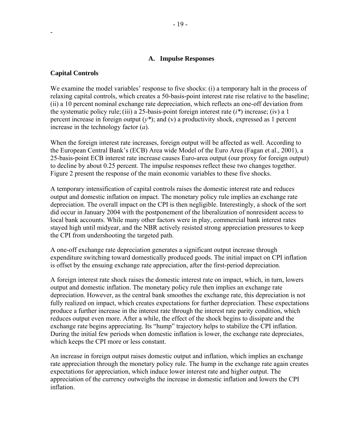# **A. Impulse Responses**

#### **Capital Controls**

-

We examine the model variables' response to five shocks: (i) a temporary halt in the process of relaxing capital controls, which creates a 50-basis-point interest rate rise relative to the baseline; (ii) a 10 percent nominal exchange rate depreciation, which reflects an one-off deviation from the systematic policy rule;(iii) a 25-basis-point foreign interest rate (*i\**) increase; (iv) a 1 percent increase in foreign output (*y\**); and (v) a productivity shock, expressed as 1 percent increase in the technology factor (*a*).

When the foreign interest rate increases, foreign output will be affected as well. According to the European Central Bank's (ECB) Area wide Model of the Euro Area (Fagan et al., 2001), a 25-basis-point ECB interest rate increase causes Euro-area output (our proxy for foreign output) to decline by about 0.25 percent. The impulse responses reflect these two changes together. Figure 2 present the response of the main economic variables to these five shocks.

A temporary intensification of capital controls raises the domestic interest rate and reduces output and domestic inflation on impact. The monetary policy rule implies an exchange rate depreciation. The overall impact on the CPI is then negligible. Interestingly, a shock of the sort did occur in January 2004 with the postponement of the liberalization of nonresident access to local bank accounts. While many other factors were in play, commercial bank interest rates stayed high until midyear, and the NBR actively resisted strong appreciation pressures to keep the CPI from undershooting the targeted path.

A one-off exchange rate depreciation generates a significant output increase through expenditure switching toward domestically produced goods. The initial impact on CPI inflation is offset by the ensuing exchange rate appreciation, after the first-period depreciation.

A foreign interest rate shock raises the domestic interest rate on impact, which, in turn, lowers output and domestic inflation. The monetary policy rule then implies an exchange rate depreciation. However, as the central bank smoothes the exchange rate, this depreciation is not fully realized on impact, which creates expectations for further depreciation. These expectations produce a further increase in the interest rate through the interest rate parity condition, which reduces output even more. After a while, the effect of the shock begins to dissipate and the exchange rate begins appreciating. Its "hump" trajectory helps to stabilize the CPI inflation. During the initial few periods when domestic inflation is lower, the exchange rate depreciates, which keeps the CPI more or less constant.

An increase in foreign output raises domestic output and inflation, which implies an exchange rate appreciation through the monetary policy rule. The hump in the exchange rate again creates expectations for appreciation, which induce lower interest rate and higher output. The appreciation of the currency outweighs the increase in domestic inflation and lowers the CPI inflation.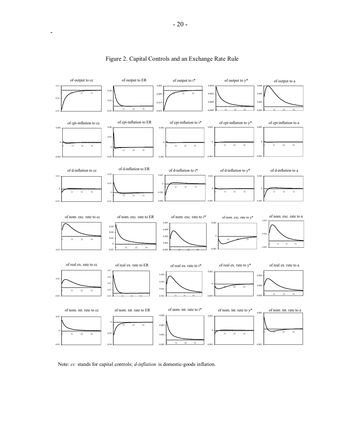

# Figure 2. Capital Controls and an Exchange Rate Rule

Note: *cc* stands for capital controls; *d-inflation* is domestic-goods inflation.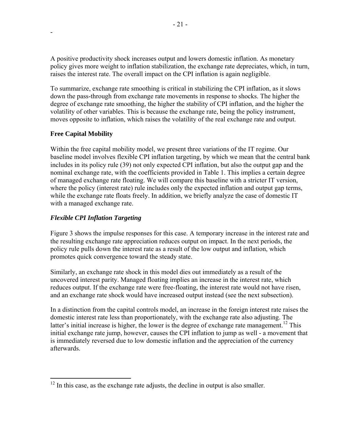A positive productivity shock increases output and lowers domestic inflation. As monetary policy gives more weight to inflation stabilization, the exchange rate depreciates, which, in turn, raises the interest rate. The overall impact on the CPI inflation is again negligible.

To summarize, exchange rate smoothing is critical in stabilizing the CPI inflation, as it slows down the pass-through from exchange rate movements in response to shocks. The higher the degree of exchange rate smoothing, the higher the stability of CPI inflation, and the higher the volatility of other variables. This is because the exchange rate, being the policy instrument, moves opposite to inflation, which raises the volatility of the real exchange rate and output.

# **Free Capital Mobility**

-

Within the free capital mobility model, we present three variations of the IT regime. Our baseline model involves flexible CPI inflation targeting, by which we mean that the central bank includes in its policy rule (39) not only expected CPI inflation, but also the output gap and the nominal exchange rate, with the coefficients provided in Table 1. This implies a certain degree of managed exchange rate floating. We will compare this baseline with a stricter IT version, where the policy (interest rate) rule includes only the expected inflation and output gap terms, while the exchange rate floats freely. In addition, we briefly analyze the case of domestic IT with a managed exchange rate.

# *Flexible CPI Inflation Targeting*

Figure 3 shows the impulse responses for this case. A temporary increase in the interest rate and the resulting exchange rate appreciation reduces output on impact. In the next periods, the policy rule pulls down the interest rate as a result of the low output and inflation, which promotes quick convergence toward the steady state.

Similarly, an exchange rate shock in this model dies out immediately as a result of the uncovered interest parity. Managed floating implies an increase in the interest rate, which reduces output. If the exchange rate were free-floating, the interest rate would not have risen, and an exchange rate shock would have increased output instead (see the next subsection).

In a distinction from the capital controls model, an increase in the foreign interest rate raises the domestic interest rate less than proportionately, with the exchange rate also adjusting. The latter's initial increase is higher, the lower is the degree of exchange rate management.<sup>12</sup> This initial exchange rate jump, however, causes the CPI inflation to jump as well - a movement that is immediately reversed due to low domestic inflation and the appreciation of the currency afterwards.

<sup>1</sup>  $12$  In this case, as the exchange rate adjusts, the decline in output is also smaller.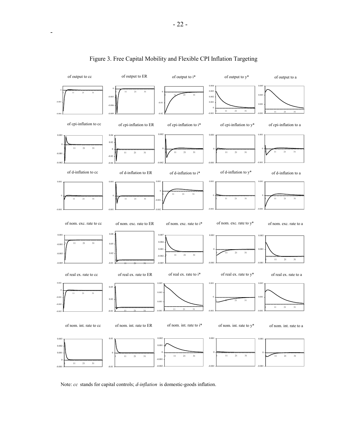

# Figure 3. Free Capital Mobility and Flexible CPI Inflation Targeting

Note: *cc* stands for capital controls; *d-inflation* is domestic-goods inflation.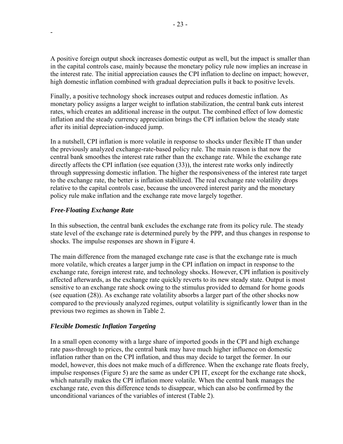A positive foreign output shock increases domestic output as well, but the impact is smaller than in the capital controls case, mainly because the monetary policy rule now implies an increase in the interest rate. The initial appreciation causes the CPI inflation to decline on impact; however, high domestic inflation combined with gradual depreciation pulls it back to positive levels.

Finally, a positive technology shock increases output and reduces domestic inflation. As monetary policy assigns a larger weight to inflation stabilization, the central bank cuts interest rates, which creates an additional increase in the output. The combined effect of low domestic inflation and the steady currency appreciation brings the CPI inflation below the steady state after its initial depreciation-induced jump.

In a nutshell, CPI inflation is more volatile in response to shocks under flexible IT than under the previously analyzed exchange-rate-based policy rule. The main reason is that now the central bank smoothes the interest rate rather than the exchange rate. While the exchange rate directly affects the CPI inflation (see equation (33)), the interest rate works only indirectly through suppressing domestic inflation. The higher the responsiveness of the interest rate target to the exchange rate, the better is inflation stabilized. The real exchange rate volatility drops relative to the capital controls case, because the uncovered interest parity and the monetary policy rule make inflation and the exchange rate move largely together.

# *Free-Floating Exchange Rate*

-

In this subsection, the central bank excludes the exchange rate from its policy rule. The steady state level of the exchange rate is determined purely by the PPP, and thus changes in response to shocks. The impulse responses are shown in Figure 4.

The main difference from the managed exchange rate case is that the exchange rate is much more volatile, which creates a larger jump in the CPI inflation on impact in response to the exchange rate, foreign interest rate, and technology shocks. However, CPI inflation is positively affected afterwards, as the exchange rate quickly reverts to its new steady state. Output is most sensitive to an exchange rate shock owing to the stimulus provided to demand for home goods (see equation (28)). As exchange rate volatility absorbs a larger part of the other shocks now compared to the previously analyzed regimes, output volatility is significantly lower than in the previous two regimes as shown in Table 2.

# *Flexible Domestic Inflation Targeting*

In a small open economy with a large share of imported goods in the CPI and high exchange rate pass-through to prices, the central bank may have much higher influence on domestic inflation rather than on the CPI inflation, and thus may decide to target the former. In our model, however, this does not make much of a difference. When the exchange rate floats freely, impulse responses (Figure 5) are the same as under CPI IT, except for the exchange rate shock, which naturally makes the CPI inflation more volatile. When the central bank manages the exchange rate, even this difference tends to disappear, which can also be confirmed by the unconditional variances of the variables of interest (Table 2).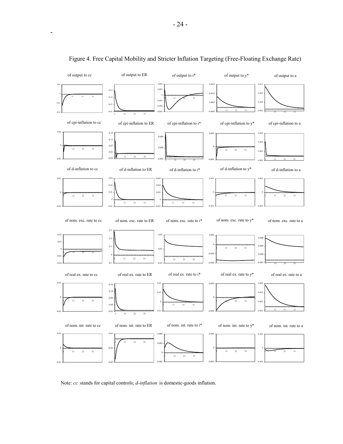

# Figure 4. Free Capital Mobility and Stricter Inflation Targeting (Free-Floating Exchange Rate)

Note: *cc* stands for capital controls; *d-inflation* is domestic-goods inflation.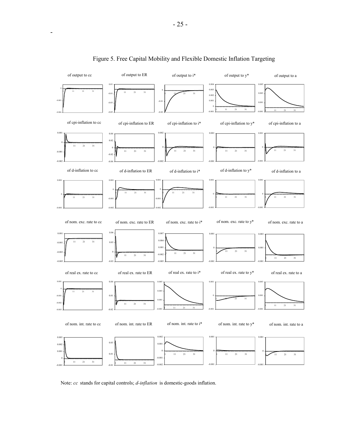

# Figure 5. Free Capital Mobility and Flexible Domestic Inflation Targeting

Note: *cc* stands for capital controls; *d-inflation* is domestic-goods inflation.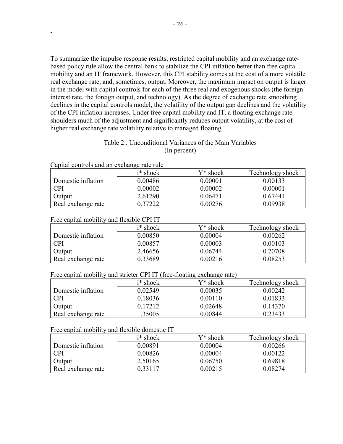To summarize the impulse response results, restricted capital mobility and an exchange ratebased policy rule allow the central bank to stabilize the CPI inflation better than free capital mobility and an IT framework. However, this CPI stability comes at the cost of a more volatile real exchange rate, and, sometimes, output. Moreover, the maximum impact on output is larger in the model with capital controls for each of the three real and exogenous shocks (the foreign interest rate, the foreign output, and technology). As the degree of exchange rate smoothing declines in the capital controls model, the volatility of the output gap declines and the volatility of the CPI inflation increases. Under free capital mobility and IT, a floating exchange rate shoulders much of the adjustment and significantly reduces output volatility, at the cost of higher real exchange rate volatility relative to managed floating.

# Table 2 . Unconditional Variances of the Main Variables (In percent)

| Capital controls and an exchange rate rule |
|--------------------------------------------|
|                                            |

-

|                    | $i^*$ shock | Y* shock    | Technology shock |
|--------------------|-------------|-------------|------------------|
| Domestic inflation | 0.00486     | 0.00001     | 0.00133          |
| <b>CPI</b>         | 0.00002     | 0.00002     | 0.00001          |
| Output             | 2.61790     | 0 0 6 4 7 1 | 0.67441          |
| Real exchange rate | 0.37222     | 0.00276     | 0.09938          |

#### Free capital mobility and flexible CPI IT

|                    | i* shock | Y* shock | Technology shock |
|--------------------|----------|----------|------------------|
| Domestic inflation | 0.00850  | 0.00004  | 0.00262          |
| <b>CPI</b>         | 0.00857  | 0.00003  | 0.00103          |
| Output             | 2.46656  | 0.06744  | 0.70708          |
| Real exchange rate | 0.33689  | 0.00216  | 0.08253          |

Free capital mobility and stricter CPI IT (free-floating exchange rate)

|                    | $i^*$ shock<br>Y* shock |         | Technology shock |
|--------------------|-------------------------|---------|------------------|
| Domestic inflation | 0.02549                 | 0.00035 | 0.00242          |
| <b>CPI</b>         | 0.18036                 | 0.00110 | 0.01833          |
| Output             | 0.17212                 | 0.02648 | 0.14370          |
| Real exchange rate | 1.35005                 | 0.00844 | 0.23433          |

Free capital mobility and flexible domestic IT

|                    | $i^*$ shock | $Y^*$ shock | Technology shock |
|--------------------|-------------|-------------|------------------|
| Domestic inflation | 0.00891     | 0.00004     | 0.00266          |
| CPI                | 0.00826     | 0.00004     | 0.00122          |
| Output             | 2.50165     | 0.06750     | 0.69818          |
| Real exchange rate | 0.33117     | 0.00215     | 0.08274          |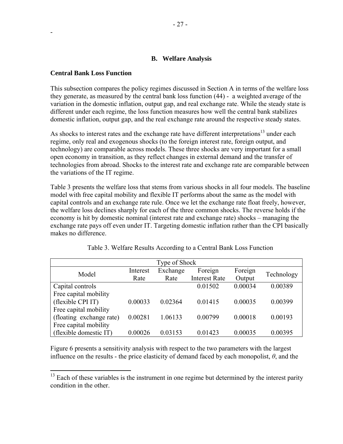# **B. Welfare Analysis**

#### **Central Bank Loss Function**

-

1

This subsection compares the policy regimes discussed in Section A in terms of the welfare loss they generate, as measured by the central bank loss function (44) - a weighted average of the variation in the domestic inflation, output gap, and real exchange rate. While the steady state is different under each regime, the loss function measures how well the central bank stabilizes domestic inflation, output gap, and the real exchange rate around the respective steady states.

As shocks to interest rates and the exchange rate have different interpretations<sup>13</sup> under each regime, only real and exogenous shocks (to the foreign interest rate, foreign output, and technology) are comparable across models. These three shocks are very important for a small open economy in transition, as they reflect changes in external demand and the transfer of technologies from abroad. Shocks to the interest rate and exchange rate are comparable between the variations of the IT regime.

Table 3 presents the welfare loss that stems from various shocks in all four models. The baseline model with free capital mobility and flexible IT performs about the same as the model with capital controls and an exchange rate rule. Once we let the exchange rate float freely, however, the welfare loss declines sharply for each of the three common shocks. The reverse holds if the economy is hit by domestic nominal (interest rate and exchange rate) shocks – managing the exchange rate pays off even under IT. Targeting domestic inflation rather than the CPI basically makes no difference.

| Type of Shock            |          |          |                      |         |            |  |
|--------------------------|----------|----------|----------------------|---------|------------|--|
| Model                    | Interest | Exchange | Foreign              | Foreign | Technology |  |
|                          | Rate     | Rate     | <b>Interest Rate</b> | Output  |            |  |
| Capital controls         |          |          | 0.01502              | 0.00034 | 0.00389    |  |
| Free capital mobility    |          |          |                      |         |            |  |
| (flexible CPI IT)        | 0.00033  | 0.02364  | 0.01415              | 0.00035 | 0.00399    |  |
| Free capital mobility    |          |          |                      |         |            |  |
| (floating exchange rate) | 0.00281  | 1.06133  | 0.00799              | 0.00018 | 0.00193    |  |
| Free capital mobility    |          |          |                      |         |            |  |
| (flexible domestic IT)   | 0.00026  | 0.03153  | 0.01423              | 0.00035 | 0.00395    |  |

Table 3. Welfare Results According to a Central Bank Loss Function

Figure 6 presents a sensitivity analysis with respect to the two parameters with the largest influence on the results - the price elasticity of demand faced by each monopolist,  $\theta$ , and the

 $13$  Each of these variables is the instrument in one regime but determined by the interest parity condition in the other.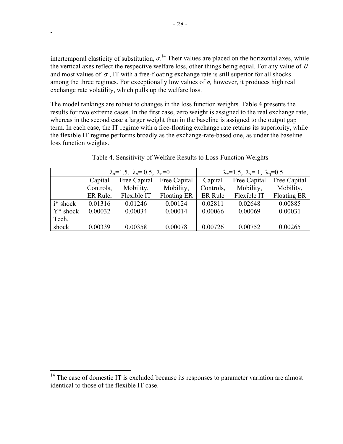intertemporal elasticity of substitution,  $\sigma$ <sup>14</sup>. Their values are placed on the horizontal axes, while the vertical axes reflect the respective welfare loss, other things being equal. For any value of  $\theta$ and most values of  $\sigma$ , IT with a free-floating exchange rate is still superior for all shocks among the three regimes. For exceptionally low values of  $\sigma$ , however, it produces high real exchange rate volatility, which pulls up the welfare loss.

The model rankings are robust to changes in the loss function weights. Table 4 presents the results for two extreme cases. In the first case, zero weight is assigned to the real exchange rate, whereas in the second case a larger weight than in the baseline is assigned to the output gap term. In each case, the IT regime with a free-floating exchange rate retains its superiority, while the flexible IT regime performs broadly as the exchange-rate-based one, as under the baseline loss function weights.

| $\lambda_{\pi} = 1.5$ , $\lambda_{\pi} = 0.5$ , $\lambda_{\pi} = 0$ |                         |             | $\lambda_{\pi} = 1.5$ , $\lambda_{\pi} = 1$ , $\lambda_{\pi} = 0.5$ |                |              |              |
|---------------------------------------------------------------------|-------------------------|-------------|---------------------------------------------------------------------|----------------|--------------|--------------|
|                                                                     | Free Capital<br>Capital |             | Free Capital                                                        | Capital        | Free Capital | Free Capital |
|                                                                     | Controls,               | Mobility,   | Mobility,                                                           | Controls,      | Mobility,    | Mobility,    |
|                                                                     | ER Rule,                | Flexible IT | Floating ER                                                         | <b>ER Rule</b> | Flexible IT  | Floating ER  |
| i* shock                                                            | 0.01316                 | 0.01246     | 0.00124                                                             | 0.02811        | 0.02648      | 0.00885      |
| $Y^*$ shock                                                         | 0.00032                 | 0.00034     | 0.00014                                                             | 0.00066        | 0.00069      | 0.00031      |
| Tech.                                                               |                         |             |                                                                     |                |              |              |
| shock                                                               | 0.00339                 | 0.00358     | 0.00078                                                             | 0.00726        | 0.00752      | 0.00265      |

Table 4. Sensitivity of Welfare Results to Loss-Function Weights

-

 $\overline{a}$ 

 $14$  The case of domestic IT is excluded because its responses to parameter variation are almost identical to those of the flexible IT case.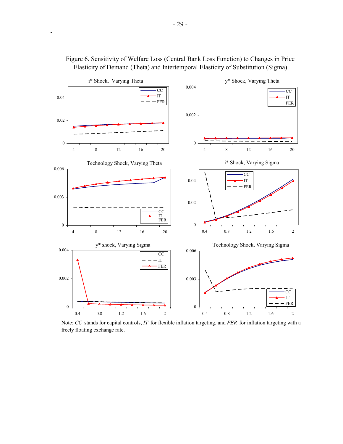



Note: *CC* stands for capital controls, *IT* for flexible inflation targeting, and *FER* for inflation targeting with a freely floating exchange rate.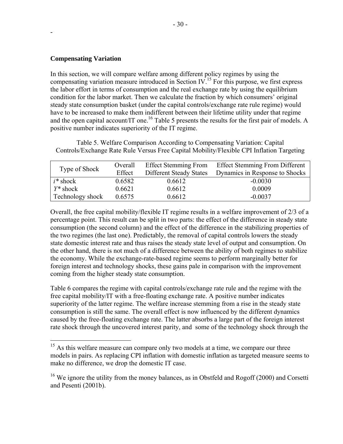# **Compensating Variation**

-

<u>.</u>

In this section, we will compare welfare among different policy regimes by using the compensating variation measure introduced in Section IV.15 For this purpose, we first express the labor effort in terms of consumption and the real exchange rate by using the equilibrium condition for the labor market. Then we calculate the fraction by which consumers' original steady state consumption basket (under the capital controls/exchange rate rule regime) would have to be increased to make them indifferent between their lifetime utility under that regime and the open capital account/IT one.<sup>16</sup> Table 5 presents the results for the first pair of models. A positive number indicates superiority of the IT regime.

Table 5. Welfare Comparison According to Compensating Variation: Capital Controls/Exchange Rate Rule Versus Free Capital Mobility/Flexible CPI Inflation Targeting

| Type of Shock    | Overall<br>Effect | <b>Effect Stemming From</b><br><b>Different Steady States</b> | <b>Effect Stemming From Different</b><br>Dynamics in Response to Shocks |
|------------------|-------------------|---------------------------------------------------------------|-------------------------------------------------------------------------|
| $\mid i^*$ shock | 0.6582            | 0.6612                                                        | $-0.0030$                                                               |
| $Y^*$ shock      | 0.6621            | 0.6612                                                        | 0.0009                                                                  |
| Technology shock | 0.6575            | 0.6612                                                        | $-0.0037$                                                               |

Overall, the free capital mobility/flexible IT regime results in a welfare improvement of 2/3 of a percentage point. This result can be split in two parts: the effect of the difference in steady state consumption (the second column) and the effect of the difference in the stabilizing properties of the two regimes (the last one). Predictably, the removal of capital controls lowers the steady state domestic interest rate and thus raises the steady state level of output and consumption. On the other hand, there is not much of a difference between the ability of both regimes to stabilize the economy. While the exchange-rate-based regime seems to perform marginally better for foreign interest and technology shocks, these gains pale in comparison with the improvement coming from the higher steady state consumption.

Table 6 compares the regime with capital controls/exchange rate rule and the regime with the free capital mobility/IT with a free-floating exchange rate. A positive number indicates superiority of the latter regime. The welfare increase stemming from a rise in the steady state consumption is still the same. The overall effect is now influenced by the different dynamics caused by the free-floating exchange rate. The latter absorbs a large part of the foreign interest rate shock through the uncovered interest parity, and some of the technology shock through the

 $15$  As this welfare measure can compare only two models at a time, we compare our three models in pairs. As replacing CPI inflation with domestic inflation as targeted measure seems to make no difference, we drop the domestic IT case.

<sup>&</sup>lt;sup>16</sup> We ignore the utility from the money balances, as in Obstfeld and Rogoff (2000) and Corsetti and Pesenti (2001b).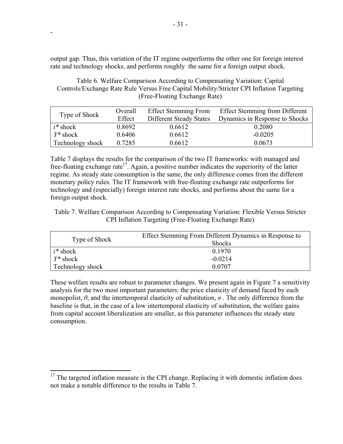output gap. Thus, this variation of the IT regime outperforms the other one for foreign interest rate and technology shocks, and performs roughly the same for a foreign output shock.

Table 6. Welfare Comparison According to Compensating Variation: Capital Controls/Exchange Rate Rule Versus Free Capital Mobility/Stricter CPI Inflation Targeting (Free-Floating Exchange Rate)

| Type of Shock           | Overall | <b>Effect Stemming From</b>    | <b>Effect Stemming from Different</b> |
|-------------------------|---------|--------------------------------|---------------------------------------|
|                         | Effect  | <b>Different Steady States</b> | Dynamics in Response to Shocks        |
| $i^*$ shock             | 0.8692  | 0.6612                         | 0.2080                                |
| $Y^*$ shock             | 0.6406  | 0.6612                         | $-0.0205$                             |
| <b>Technology shock</b> | 0.7285  | 0.6612                         | 0.0673                                |

Table 7 displays the results for the comparison of the two IT frameworks: with managed and free-floating exchange rate<sup>17</sup>. Again, a positive number indicates the superiority of the latter regime. As steady state consumption is the same, the only difference comes from the different monetary policy rules. The IT framework with free-floating exchange rate outperforms for technology and (especially) foreign interest rate shocks, and performs about the same for a foreign output shock.

Table 7. Welfare Comparison According to Compensating Variation: Flexible Versus Stricter CPI Inflation Targeting (Free-Floating Exchange Rate)

| Type of Shock    | Effect Stemming From Different Dynamics in Response to<br><b>Shocks</b> |  |
|------------------|-------------------------------------------------------------------------|--|
| $i^*$ shock      | 0.1970                                                                  |  |
| $Y^*$ shock      | $-0.0214$                                                               |  |
| Technology shock | 0.0707                                                                  |  |

These welfare results are robust to parameter changes. We present again in Figure 7 a sensitivity analysis for the two most important parameters: the price elasticity of demand faced by each monopolist,  $\theta$ , and the intertemporal elasticity of substitution,  $\sigma$ . The only difference from the baseline is that, in the case of a low intertemporal elasticity of substitution, the welfare gains from capital account liberalization are smaller, as this parameter influences the steady state consumption.

-

1

 $17$  The targeted inflation measure is the CPI change. Replacing it with domestic inflation does not make a notable difference to the results in Table 7.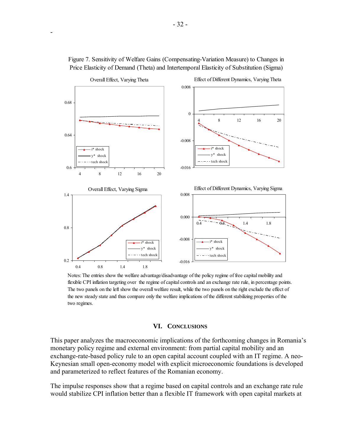

Figure 7. Sensitivity of Welfare Gains (Compensating-Variation Measure) to Changes in Price Elasticity of Demand (Theta) and Intertemporal Elasticity of Substitution (Sigma)

-

Notes: The entries show the welfare advantage/disadvantage of the policy regime of free capital mobility and flexible CPI inflation targeting over the regime of capital controls and an exchange rate rule, in percentage points. The two panels on the left show the overall welfare result, while the two panels on the right exclude the effect of the new steady state and thus compare only the welfare implications of the different stabilizing properties of the two regimes.

#### **VI. CONCLUSIONS**

This paper analyzes the macroeconomic implications of the forthcoming changes in Romania's monetary policy regime and external environment: from partial capital mobility and an exchange-rate-based policy rule to an open capital account coupled with an IT regime. A neo-Keynesian small open-economy model with explicit microeconomic foundations is developed and parameterized to reflect features of the Romanian economy.

The impulse responses show that a regime based on capital controls and an exchange rate rule would stabilize CPI inflation better than a flexible IT framework with open capital markets at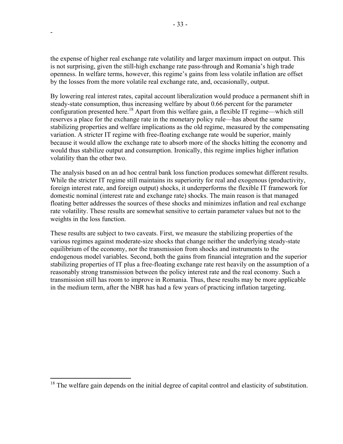the expense of higher real exchange rate volatility and larger maximum impact on output. This is not surprising, given the still-high exchange rate pass-through and Romania's high trade openness. In welfare terms, however, this regime's gains from less volatile inflation are offset by the losses from the more volatile real exchange rate, and, occasionally, output.

By lowering real interest rates, capital account liberalization would produce a permanent shift in steady-state consumption, thus increasing welfare by about 0.66 percent for the parameter configuration presented here.<sup>18</sup> Apart from this welfare gain, a flexible IT regime—which still reserves a place for the exchange rate in the monetary policy rule—has about the same stabilizing properties and welfare implications as the old regime, measured by the compensating variation. A stricter IT regime with free-floating exchange rate would be superior, mainly because it would allow the exchange rate to absorb more of the shocks hitting the economy and would thus stabilize output and consumption. Ironically, this regime implies higher inflation volatility than the other two.

The analysis based on an ad hoc central bank loss function produces somewhat different results. While the stricter IT regime still maintains its superiority for real and exogenous (productivity, foreign interest rate, and foreign output) shocks, it underperforms the flexible IT framework for domestic nominal (interest rate and exchange rate) shocks. The main reason is that managed floating better addresses the sources of these shocks and minimizes inflation and real exchange rate volatility. These results are somewhat sensitive to certain parameter values but not to the weights in the loss function.

These results are subject to two caveats. First, we measure the stabilizing properties of the various regimes against moderate-size shocks that change neither the underlying steady-state equilibrium of the economy, nor the transmission from shocks and instruments to the endogenous model variables. Second, both the gains from financial integration and the superior stabilizing properties of IT plus a free-floating exchange rate rest heavily on the assumption of a reasonably strong transmission between the policy interest rate and the real economy. Such a transmission still has room to improve in Romania. Thus, these results may be more applicable in the medium term, after the NBR has had a few years of practicing inflation targeting.

-

 $\overline{a}$ 

 $18$  The welfare gain depends on the initial degree of capital control and elasticity of substitution.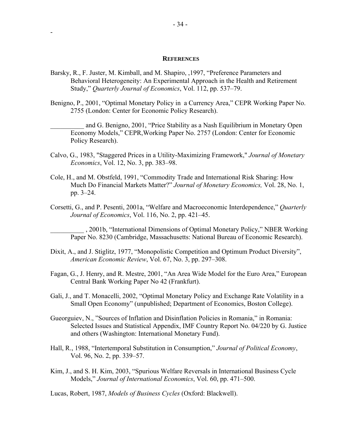#### **REFERENCES**

- Barsky, R., F. Juster, M. Kimball, and M. Shapiro, ,1997, "Preference Parameters and Behavioral Heterogeneity: An Experimental Approach in the Health and Retirement Study," *Quarterly Journal of Economics*, Vol. 112, pp. 537–79.
- Benigno, P., 2001, "Optimal Monetary Policy in a Currency Area," CEPR Working Paper No. 2755 (London: Center for Economic Policy Research).
	- and G. Benigno, 2001, "Price Stability as a Nash Equilibrium in Monetary Open Economy Models," CEPR,Working Paper No. 2757 (London: Center for Economic Policy Research).
- Calvo, G., 1983, "Staggered Prices in a Utility-Maximizing Framework," *Journal of Monetary Economics*, Vol. 12, No. 3, pp. 383–98.
- Cole, H., and M. Obstfeld, 1991, "Commodity Trade and International Risk Sharing: How Much Do Financial Markets Matter?" *Journal of Monetary Economics,* Vol. 28, No. 1, pp. 3–24.
- Corsetti, G., and P. Pesenti, 2001a, "Welfare and Macroeconomic Interdependence," *Quarterly Journal of Economics*, Vol. 116, No. 2, pp. 421–45.

\_\_\_\_\_\_\_\_\_\_ , 2001b, "International Dimensions of Optimal Monetary Policy," NBER Working Paper No. 8230 (Cambridge, Massachusetts: National Bureau of Economic Research).

- Dixit, A., and J. Stiglitz, 1977, "Monopolistic Competition and Optimum Product Diversity", *American Economic Review*, Vol. 67, No. 3, pp. 297–308.
- Fagan, G., J. Henry, and R. Mestre, 2001, "An Area Wide Model for the Euro Area," European Central Bank Working Paper No 42 (Frankfurt).
- Gali, J., and T. Monacelli, 2002, "Optimal Monetary Policy and Exchange Rate Volatility in a Small Open Economy" (unpublished; Department of Economics, Boston College).
- Gueorguiev, N., "Sources of Inflation and Disinflation Policies in Romania," in Romania: Selected Issues and Statistical Appendix, IMF Country Report No. 04/220 by G. Justice and others (Washington: International Monetary Fund).
- Hall, R., 1988, "Intertemporal Substitution in Consumption," *Journal of Political Economy*, Vol. 96, No. 2, pp. 339–57.
- Kim, J., and S. H. Kim, 2003, "Spurious Welfare Reversals in International Business Cycle Models," *Journal of International Economics*, Vol. 60, pp. 471–500.

Lucas, Robert, 1987, *Models of Business Cycles* (Oxford: Blackwell).